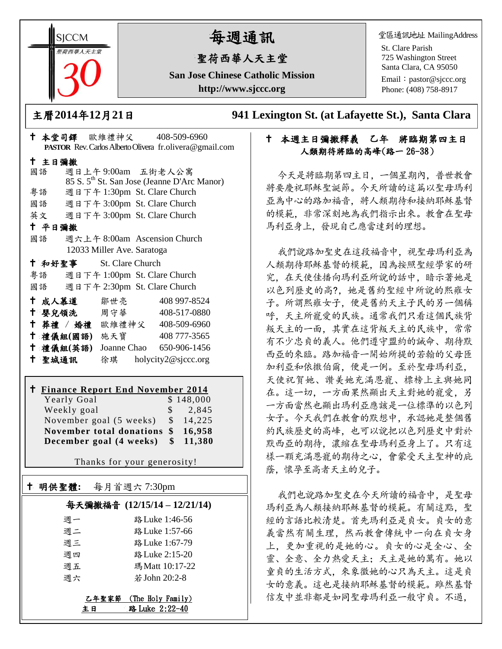**SICCM** 荷西華人天主名

# 每週通訊

## 聖荷西華人天主堂

**San Jose Chinese Catholic Mission http://www.sjccc.org**

堂區通訊地址 MailingAddress

St. Clare Parish 725 Washington Street Santa Clara, CA 95050

Email: [pastor@sjccc.org](mailto:pastor@sjccc.org) Phone: (408) 758-8917

主曆**2014**年**12**月**21**日 **941 Lexington St. (at Lafayette St.), Santa Clara** 

### 十 本週主日彌撒釋義 乙年 將臨期第四主日 人類期待將臨的高峰(路一 26-38)

今天是將臨期第四主日,一個星期內,普世教會 將要慶祝耶穌聖誕節。今天所讀的這篇以聖母瑪利 亞為中心的路加福音,將人類期待和接納耶穌基督 的模範,非常深刻地為我們指示出來。教會在聖母 馬利亞身上,發現自己應當達到的理想。

我們說路加聖史在這段福音中,視聖母瑪利亞為 人類期待耶穌基督的模範,因為按照聖經學家的研 究,在天使佳播向瑪利亞所說的話中,暗示著她是 以色列歷史的高?,她是舊約聖經中所說的熙雍女 子。所謂熙雍女子,便是舊約天主子民的另一個稱 呼,天主所寵愛的民族。通常我們只看這個民族背 叛天主的一面,其實在這背叛天主的民族中,常常 有不少忠貞的義人。他們遵守盟約的誡命、期待默 西亞的來臨。路加福音一開始所提的若翰的父母匝 加利亞和依撒伯爾,便是一例。至於聖母瑪利亞, 天使祝賀她、讚美她充滿恩寵、標榜上主與她同 在。這一切,一方面果然顯出天主對她的寵愛,另 一方面當然也顯出瑪利亞應該是一位標準的以色列 女子。今天我們在教會的默想中,承認她是整個舊 約民族歷史的高峰,也可以說把以色列歷史中對於 默西亞的期待,濃縮在聖母瑪利亞身上了。只有這 樣一顆充滿恩寵的期待之心,會蒙受天主聖神的庇 蔭,懷孕至高者天主的兒子。

我們也說路加聖史在今天所讀的福音中,是聖母 瑪利亞為人類接納耶穌基督的模範。有關這點, 聖 經的言語比較清楚。首先瑪利亞是貞女。貞女的意 義當然有關生理,然而教會傳統中一向在貞女身 上,更加重視的是她的心。貞女的心是全心、全 靈、全意、全力熱愛天主;天主是她的萬有。她以 童貞的生活方式,來象徵她的心只為天主。這是貞 女的意義。這也是接納耶穌基督的模範。雖然基督 信友中並非都是如同聖母瑪利亞一般守貞。不過,

|        | PASTOR Rev. Carlos Alberto Olivera fr. olivera@gmail.com |                         |                            |  |                                                         |  |  |
|--------|----------------------------------------------------------|-------------------------|----------------------------|--|---------------------------------------------------------|--|--|
|        | 十 主日彌撒                                                   |                         |                            |  |                                                         |  |  |
|        | 國語                                                       |                         |                            |  | 週日上午9:00am 五街老人公寓                                       |  |  |
|        |                                                          |                         |                            |  | 85 S. 5 <sup>th</sup> St. San Jose (Jeanne D'Arc Manor) |  |  |
|        | 粤語                                                       |                         |                            |  | 週日下午 1:30pm St. Clare Church                            |  |  |
|        |                                                          |                         |                            |  | 國語 週日下午 3:00pm St. Clare Church                         |  |  |
|        |                                                          |                         |                            |  | 英文 週日下午 3:00pm St. Clare Church                         |  |  |
| 十 平日彌撒 |                                                          |                         |                            |  |                                                         |  |  |
|        | 國語                                                       |                         |                            |  | 週六上午 8:00am Ascension Church                            |  |  |
|        |                                                          |                         | 12033 Miller Ave. Saratoga |  |                                                         |  |  |
|        |                                                          | + 和好聖事 St. Clare Church |                            |  |                                                         |  |  |
|        |                                                          |                         |                            |  | 粤語 週日下午 1:00pm St. Clare Church                         |  |  |
|        |                                                          |                         |                            |  | 國語 週日下午 2:30pm St. Clare Church                         |  |  |
|        |                                                          | 十 成人慕道                  | 鄒世亮                        |  | 408 997-8524                                            |  |  |
|        |                                                          | ← 嬰兒領洗──周守華──           |                            |  | 408-517-0880                                            |  |  |
|        |                                                          |                         |                            |  | † 葬禮 / 婚禮 歐維禮神父 408-509-6960                            |  |  |
|        |                                                          | 十 禮儀組(國語) 施天寶           |                            |  | 408 777-3565                                            |  |  |
|        |                                                          | 十 禮儀組(英語)               |                            |  | Joanne Chao 650-906-1456                                |  |  |
|        | 十 聖城通訊                                                   |                         |                            |  | 徐琪 holycity2@sjccc.org                                  |  |  |
|        |                                                          |                         |                            |  |                                                         |  |  |

十 本堂司鐸 歐維禮神父 408-509-6960

#### **Finance Report End November 2014** Yearly Goal \$ 148,000

Weekly goal \$ 2,845 November goal (5 weeks) \$ 14,225 **November total donations \$ 16,958 December goal (4 weeks) \$ 11,380**

Thanks for your generosity!

| $^\dagger$ | 明供聖體:       | 每月首週六 7:30pm                        |
|------------|-------------|-------------------------------------|
|            |             | 每天彌撒福音 (12/15/14-12/21/14)          |
|            | 週一          | 路 Luke 1:46-56                      |
|            | 週二          | 路 Luke 1:57-66                      |
|            | 週三          | 路 Luke 1:67-79                      |
|            | 调四          | 路 Luke 2:15-20                      |
|            | 週五          | 瑪Matt 10:17-22                      |
|            | 週六          | 若 John 20:2-8                       |
|            | 乙年聖家節<br>主日 | (The Holy Family)<br>路 Luke 2:22-40 |